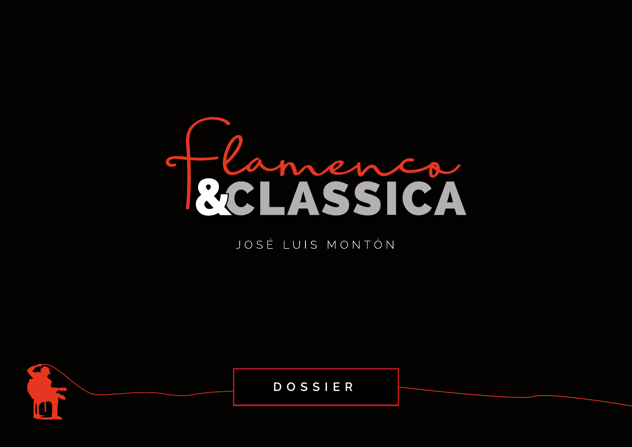

# JOSÉ LUIS MONTÓN

DOSSIER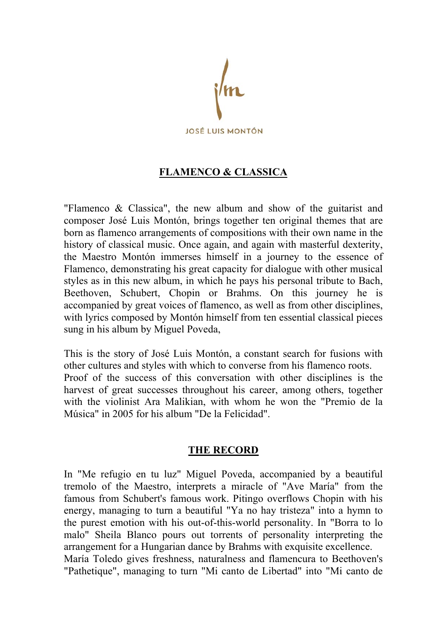

# **FLAMENCO & CLASSICA**

"Flamenco & Classica", the new album and show of the guitarist and composer José Luis Montón, brings together ten original themes that are born as flamenco arrangements of compositions with their own name in the history of classical music. Once again, and again with masterful dexterity, the Maestro Montón immerses himself in a journey to the essence of Flamenco, demonstrating his great capacity for dialogue with other musical styles as in this new album, in which he pays his personal tribute to Bach, Beethoven, Schubert, Chopin or Brahms. On this journey he is accompanied by great voices of flamenco, as well as from other disciplines, with lyrics composed by Montón himself from ten essential classical pieces sung in his album by Miguel Poveda,

This is the story of José Luis Montón, a constant search for fusions with other cultures and styles with which to converse from his flamenco roots. Proof of the success of this conversation with other disciplines is the harvest of great successes throughout his career, among others, together with the violinist Ara Malikian, with whom he won the "Premio de la Música" in 2005 for his album "De la Felicidad".

## **THE RECORD**

In "Me refugio en tu luz" Miguel Poveda, accompanied by a beautiful tremolo of the Maestro, interprets a miracle of "Ave María" from the famous from Schubert's famous work. Pitingo overflows Chopin with his energy, managing to turn a beautiful "Ya no hay tristeza" into a hymn to the purest emotion with his out-of-this-world personality. In "Borra to lo malo" Sheila Blanco pours out torrents of personality interpreting the arrangement for a Hungarian dance by Brahms with exquisite excellence. María Toledo gives freshness, naturalness and flamencura to Beethoven's "Pathetique", managing to turn "Mi canto de Libertad" into "Mi canto de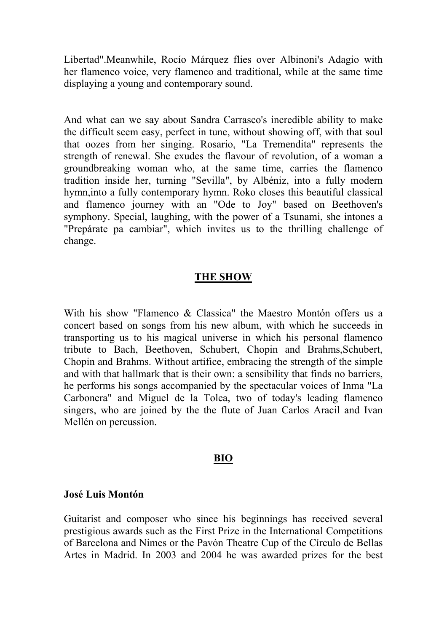Libertad".Meanwhile, Rocío Márquez flies over Albinoni's Adagio with her flamenco voice, very flamenco and traditional, while at the same time displaying a young and contemporary sound.

And what can we say about Sandra Carrasco's incredible ability to make the difficult seem easy, perfect in tune, without showing off, with that soul that oozes from her singing. Rosario, "La Tremendita" represents the strength of renewal. She exudes the flavour of revolution, of a woman a groundbreaking woman who, at the same time, carries the flamenco tradition inside her, turning "Sevilla", by Albéniz, into a fully modern hymn,into a fully contemporary hymn. Roko closes this beautiful classical and flamenco journey with an "Ode to Joy" based on Beethoven's symphony. Special, laughing, with the power of a Tsunami, she intones a "Prepárate pa cambiar", which invites us to the thrilling challenge of change.

#### **THE SHOW**

With his show "Flamenco & Classica" the Maestro Montón offers us a concert based on songs from his new album, with which he succeeds in transporting us to his magical universe in which his personal flamenco tribute to Bach, Beethoven, Schubert, Chopin and Brahms,Schubert, Chopin and Brahms. Without artifice, embracing the strength of the simple and with that hallmark that is their own: a sensibility that finds no barriers, he performs his songs accompanied by the spectacular voices of Inma "La Carbonera" and Miguel de la Tolea, two of today's leading flamenco singers, who are joined by the the flute of Juan Carlos Aracil and Ivan Mellén on percussion.

#### **BIO**

#### **José Luis Montón**

Guitarist and composer who since his beginnings has received several prestigious awards such as the First Prize in the International Competitions of Barcelona and Nimes or the Pavón Theatre Cup of the Círculo de Bellas Artes in Madrid. In 2003 and 2004 he was awarded prizes for the best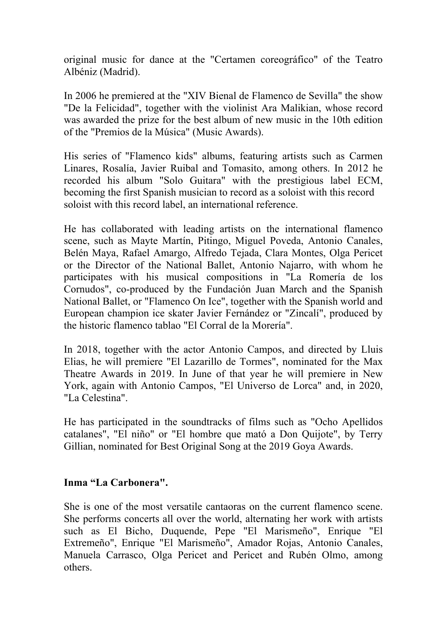original music for dance at the "Certamen coreográfico" of the Teatro Albéniz (Madrid).

In 2006 he premiered at the "XIV Bienal de Flamenco de Sevilla" the show "De la Felicidad", together with the violinist Ara Malikian, whose record was awarded the prize for the best album of new music in the 10th edition of the "Premios de la Música" (Music Awards).

His series of "Flamenco kids" albums, featuring artists such as Carmen Linares, Rosalía, Javier Ruibal and Tomasito, among others. In 2012 he recorded his album "Solo Guitara" with the prestigious label ECM, becoming the first Spanish musician to record as a soloist with this record soloist with this record label, an international reference.

He has collaborated with leading artists on the international flamenco scene, such as Mayte Martín, Pitingo, Miguel Poveda, Antonio Canales, Belén Maya, Rafael Amargo, Alfredo Tejada, Clara Montes, Olga Pericet or the Director of the National Ballet, Antonio Najarro, with whom he participates with his musical compositions in "La Romería de los Cornudos", co-produced by the Fundación Juan March and the Spanish National Ballet, or "Flamenco On Ice", together with the Spanish world and European champion ice skater Javier Fernández or "Zincalí", produced by the historic flamenco tablao "El Corral de la Morería".

In 2018, together with the actor Antonio Campos, and directed by Lluis Elias, he will premiere "El Lazarillo de Tormes", nominated for the Max Theatre Awards in 2019. In June of that year he will premiere in New York, again with Antonio Campos, "El Universo de Lorca" and, in 2020, "La Celestina".

He has participated in the soundtracks of films such as "Ocho Apellidos catalanes", "El niño" or "El hombre que mató a Don Quijote", by Terry Gillian, nominated for Best Original Song at the 2019 Goya Awards.

## **Inma "La Carbonera".**

She is one of the most versatile cantaoras on the current flamenco scene. She performs concerts all over the world, alternating her work with artists such as El Bicho, Duquende, Pepe "El Marismeño", Enrique "El Extremeño", Enrique "El Marismeño", Amador Rojas, Antonio Canales, Manuela Carrasco, Olga Pericet and Pericet and Rubén Olmo, among others.